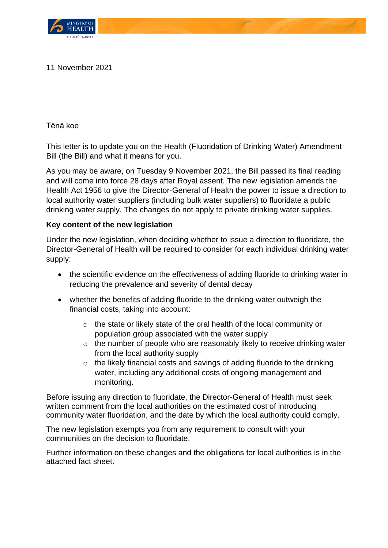

## 11 November 2021

Tēnā koe

This letter is to update you on the Health (Fluoridation of Drinking Water) Amendment Bill (the Bill) and what it means for you.

As you may be aware, on Tuesday 9 November 2021, the Bill passed its final reading and will come into force 28 days after Royal assent. The new legislation amends the Health Act 1956 to give the Director-General of Health the power to issue a direction to local authority water suppliers (including bulk water suppliers) to fluoridate a public drinking water supply. The changes do not apply to private drinking water supplies.

## **Key content of the new legislation**

Under the new legislation, when deciding whether to issue a direction to fluoridate, the Director-General of Health will be required to consider for each individual drinking water supply:

- the scientific evidence on the effectiveness of adding fluoride to drinking water in reducing the prevalence and severity of dental decay
- whether the benefits of adding fluoride to the drinking water outweigh the financial costs, taking into account:
	- o the state or likely state of the oral health of the local community or population group associated with the water supply
	- o the number of people who are reasonably likely to receive drinking water from the local authority supply
	- o the likely financial costs and savings of adding fluoride to the drinking water, including any additional costs of ongoing management and monitoring.

Before issuing any direction to fluoridate, the Director-General of Health must seek written comment from the local authorities on the estimated cost of introducing community water fluoridation, and the date by which the local authority could comply.

The new legislation exempts you from any requirement to consult with your communities on the decision to fluoridate.

Further information on these changes and the obligations for local authorities is in the attached fact sheet.